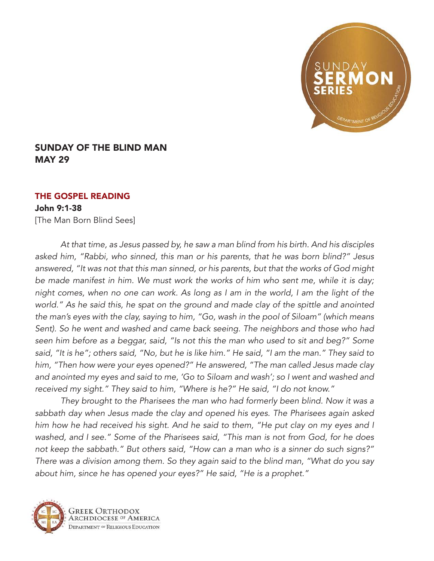

## SUNDAY OF THE BLIND MAN MAY 29

## THE GOSPEL READING

## John 9:1-38

[The Man Born Blind Sees]

*At that time, as Jesus passed by, he saw a man blind from his birth. And his disciples asked him, "Rabbi, who sinned, this man or his parents, that he was born blind?" Jesus answered, "It was not that this man sinned, or his parents, but that the works of God might be made manifest in him. We must work the works of him who sent me, while it is day; night comes, when no one can work. As long as I am in the world, I am the light of the world." As he said this, he spat on the ground and made clay of the spittle and anointed the man's eyes with the clay, saying to him, "Go, wash in the pool of Siloam" (which means*  Sent). So he went and washed and came back seeing. The neighbors and those who had *seen him before as a beggar, said, "Is not this the man who used to sit and beg?" Some said, "It is he"; others said, "No, but he is like him." He said, "I am the man." They said to him, "Then how were your eyes opened?" He answered, "The man called Jesus made clay and anointed my eyes and said to me, 'Go to Siloam and wash'; so I went and washed and received my sight." They said to him, "Where is he?" He said, "I do not know."*

*They brought to the Pharisees the man who had formerly been blind. Now it was a sabbath day when Jesus made the clay and opened his eyes. The Pharisees again asked him how he had received his sight. And he said to them, "He put clay on my eyes and I washed, and I see." Some of the Pharisees said, "This man is not from God, for he does not keep the sabbath." But others said, "How can a man who is a sinner do such signs?" There was a division among them. So they again said to the blind man, "What do you say about him, since he has opened your eyes?" He said, "He is a prophet."*



Greek Orthodox **IRCHDIOCESE OF AMERICA** DEPARTMENT OF RELIGIOUS EDUCATION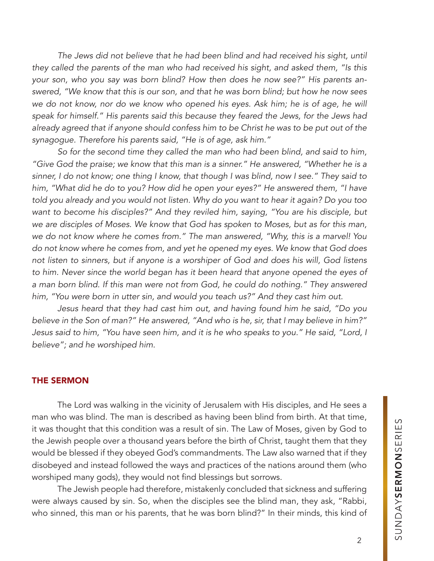The Jews did not believe that he had been blind and had received his sight, until *they called the parents of the man who had received his sight, and asked them, "Is this your son, who you say was born blind? How then does he now see?" His parents answered, "We know that this is our son, and that he was born blind; but how he now sees*  we do not know, nor do we know who opened his eyes. Ask him; he is of age, he will *speak for himself." His parents said this because they feared the Jews, for the Jews had already agreed that if anyone should confess him to be Christ he was to be put out of the synagogue. Therefore his parents said, "He is of age, ask him."*

*So for the second time they called the man who had been blind, and said to him, "Give God the praise; we know that this man is a sinner." He answered, "Whether he is a sinner, I do not know; one thing I know, that though I was blind, now I see." They said to him, "What did he do to you? How did he open your eyes?" He answered them, "I have told you already and you would not listen. Why do you want to hear it again? Do you too want to become his disciples?" And they reviled him, saying, "You are his disciple, but we are disciples of Moses. We know that God has spoken to Moses, but as for this man, we do not know where he comes from." The man answered, "Why, this is a marvel! You do not know where he comes from, and yet he opened my eyes. We know that God does not listen to sinners, but if anyone is a worshiper of God and does his will, God listens to him. Never since the world began has it been heard that anyone opened the eyes of a man born blind. If this man were not from God, he could do nothing." They answered him, "You were born in utter sin, and would you teach us?" And they cast him out.*

*Jesus heard that they had cast him out, and having found him he said, "Do you believe in the Son of man?" He answered, "And who is he, sir, that I may believe in him?" Jesus said to him, "You have seen him, and it is he who speaks to you." He said, "Lord, I believe"; and he worshiped him.*

## THE SERMON

The Lord was walking in the vicinity of Jerusalem with His disciples, and He sees a man who was blind. The man is described as having been blind from birth. At that time, it was thought that this condition was a result of sin. The Law of Moses, given by God to the Jewish people over a thousand years before the birth of Christ, taught them that they would be blessed if they obeyed God's commandments. The Law also warned that if they disobeyed and instead followed the ways and practices of the nations around them (who worshiped many gods), they would not find blessings but sorrows.

The Jewish people had therefore, mistakenly concluded that sickness and suffering were always caused by sin. So, when the disciples see the blind man, they ask, "Rabbi, who sinned, this man or his parents, that he was born blind?" In their minds, this kind of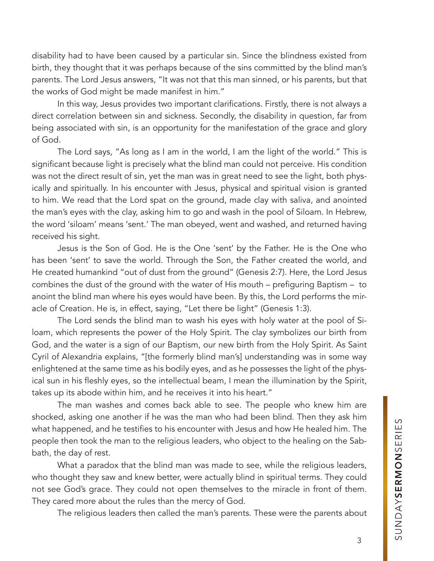disability had to have been caused by a particular sin. Since the blindness existed from birth, they thought that it was perhaps because of the sins committed by the blind man's parents. The Lord Jesus answers, "It was not that this man sinned, or his parents, but that the works of God might be made manifest in him."

In this way, Jesus provides two important clarifications. Firstly, there is not always a direct correlation between sin and sickness. Secondly, the disability in question, far from being associated with sin, is an opportunity for the manifestation of the grace and glory of God.

The Lord says, "As long as I am in the world, I am the light of the world." This is significant because light is precisely what the blind man could not perceive. His condition was not the direct result of sin, yet the man was in great need to see the light, both physically and spiritually. In his encounter with Jesus, physical and spiritual vision is granted to him. We read that the Lord spat on the ground, made clay with saliva, and anointed the man's eyes with the clay, asking him to go and wash in the pool of Siloam. In Hebrew, the word 'siloam' means 'sent.' The man obeyed, went and washed, and returned having received his sight.

Jesus is the Son of God. He is the One 'sent' by the Father. He is the One who has been 'sent' to save the world. Through the Son, the Father created the world, and He created humankind "out of dust from the ground" (Genesis 2:7). Here, the Lord Jesus combines the dust of the ground with the water of His mouth – prefiguring Baptism – to anoint the blind man where his eyes would have been. By this, the Lord performs the miracle of Creation. He is, in effect, saying, "Let there be light" (Genesis 1:3).

The Lord sends the blind man to wash his eyes with holy water at the pool of Siloam, which represents the power of the Holy Spirit. The clay symbolizes our birth from God, and the water is a sign of our Baptism, our new birth from the Holy Spirit. As Saint Cyril of Alexandria explains, "[the formerly blind man's] understanding was in some way enlightened at the same time as his bodily eyes, and as he possesses the light of the physical sun in his fleshly eyes, so the intellectual beam, I mean the illumination by the Spirit, takes up its abode within him, and he receives it into his heart."

The man washes and comes back able to see. The people who knew him are shocked, asking one another if he was the man who had been blind. Then they ask him what happened, and he testifies to his encounter with Jesus and how He healed him. The people then took the man to the religious leaders, who object to the healing on the Sabbath, the day of rest.

What a paradox that the blind man was made to see, while the religious leaders, who thought they saw and knew better, were actually blind in spiritual terms. They could not see God's grace. They could not open themselves to the miracle in front of them. They cared more about the rules than the mercy of God.

The religious leaders then called the man's parents. These were the parents about